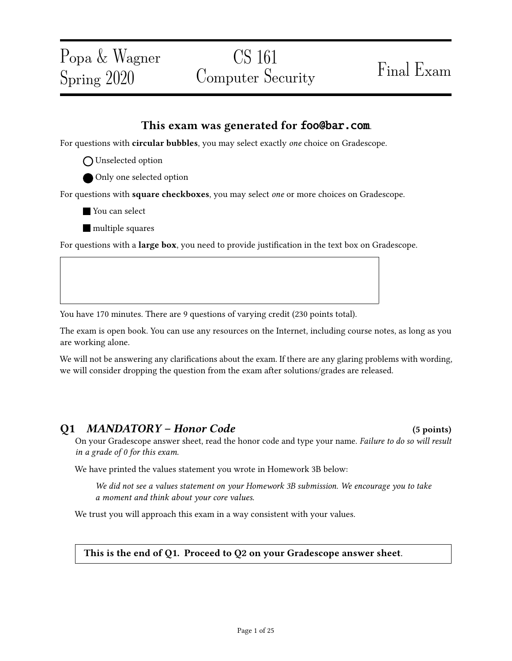# CS 161 Computer Security Final Exam

### This exam was generated for foo@bar.com.

For questions with circular bubbles, you may select exactly one choice on Gradescope.

- O Unselected option
- Only one selected option

For questions with square checkboxes, you may select one or more choices on Gradescope.

- You can select
- **nultiple** squares

For questions with a **large box**, you need to provide justification in the text box on Gradescope.

You have 170 minutes. There are 9 questions of varying credit (230 points total).

The exam is open book. You can use any resources on the Internet, including course notes, as long as you are working alone.

We will not be answering any clarifications about the exam. If there are any glaring problems with wording, we will consider dropping the question from the exam after solutions/grades are released.

### Q1 MANDATORY – Honor Code (5 points)

On your Gradescope answer sheet, read the honor code and type your name. Failure to do so will result in a grade of 0 for this exam.

We have printed the values statement you wrote in Homework 3B below:

We did not see a values statement on your Homework 3B submission. We encourage you to take a moment and think about your core values.

We trust you will approach this exam in a way consistent with your values.

#### This is the end of Q1. Proceed to Q2 on your Gradescope answer sheet.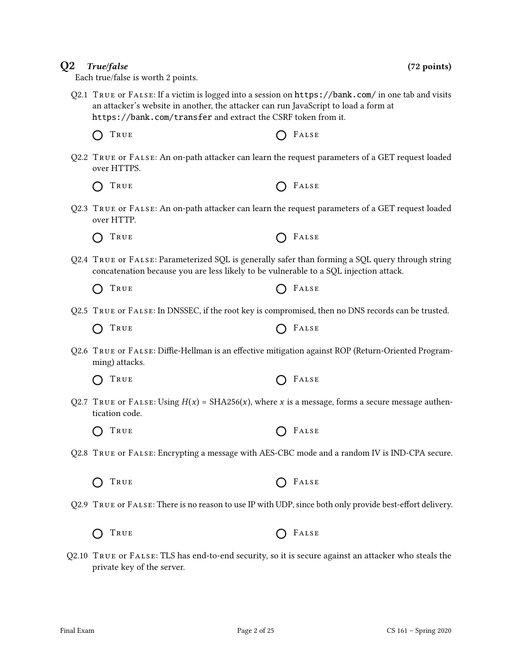| Q2.2 TRUE or FALSE: An on-path attacker can learn the request parameters of a GET request loaded<br>over HTTPS.                                                                           |       |
|-------------------------------------------------------------------------------------------------------------------------------------------------------------------------------------------|-------|
| TRUE                                                                                                                                                                                      | FALSE |
| Q2.3 TRUE or FALSE: An on-path attacker can learn the request parameters of a GET request loaded<br>over HTTP.                                                                            |       |
| TRUE                                                                                                                                                                                      | FALSE |
| Q2.4 TRUE or FALSE: Parameterized SQL is generally safer than forming a SQL query through string<br>concatenation because you are less likely to be vulnerable to a SQL injection attack. |       |
| TRUE                                                                                                                                                                                      | FALSE |
| Q2.5 TRUE or FALSE: In DNSSEC, if the root key is compromised, then no DNS records can be trusted.                                                                                        |       |
| True                                                                                                                                                                                      | FALSE |

Q2.6 TRUE or FALSE: Diffie-Hellman is an effective mitigation against ROP (Return-Oriented Programming) attacks.

Q2.1 True or False: If a victim is logged into a session on https://bank.com/ in one tab and visits

an attacker's website in another, the attacker can run JavaScript to load a form at

https://bank.com/transfer and extract the CSRF token from it.

 $\bigcap$  True  $\bigcap$  False

|  | O TRUE |  | $O$ FALSE |
|--|--------|--|-----------|
|--|--------|--|-----------|

Q2.7 TRUE or FALSE: Using  $H(x) = SHA256(x)$ , where x is a message, forms a secure message authentication code.

| O TRUE | $O$ FALSE |
|--------|-----------|
|--------|-----------|

- Q2.8 True or False: Encrypting a message with AES-CBC mode and a random IV is IND-CPA secure.
	- $\bigcap$  True  $\bigcap$  False

Q2.9 TRUE or FALSE: There is no reason to use IP with UDP, since both only provide best-effort delivery.

 $\bigcap$  True  $\bigcap$  False

Q2.10 True or False: TLS has end-to-end security, so it is secure against an attacker who steals the private key of the server.

 $Q2$  True/false (72 points)

Each true/false is worth 2 points.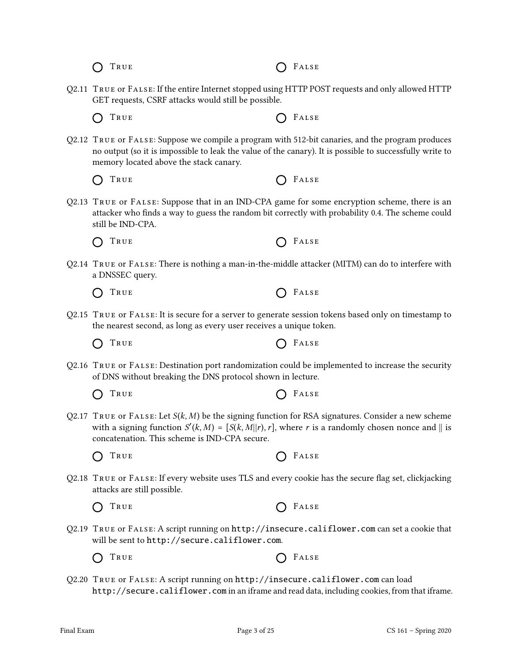$\bigcap$  True  $\bigcap$  False

- Q2.11 True or False: If the entire Internet stopped using HTTP POST requests and only allowed HTTP GET requests, CSRF attacks would still be possible.
	- $\bigcap$  True  $\bigcap$  False
- Q2.12 True or False: Suppose we compile a program with 512-bit canaries, and the program produces no output (so it is impossible to leak the value of the canary). It is possible to successfully write to memory located above the stack canary.
	- TRUE **C** FALSE  $\bigcap$
- Q2.13 True or False: Suppose that in an IND-CPA game for some encryption scheme, there is an attacker who finds a way to guess the random bit correctly with probability 0.4. The scheme could still be IND-CPA.

 $\bigcap$  True  $\bigcap$  False

Q2.14 True or False: There is nothing a man-in-the-middle attacker (MITM) can do to interfere with a DNSSEC query.

 $O$  FALSE

|  | R U<br>Ð.<br>۰.<br>. .<br>- -<br>$\sim$<br>- - |  |
|--|------------------------------------------------|--|
|--|------------------------------------------------|--|

- Q2.15 True or False: It is secure for a server to generate session tokens based only on timestamp to the nearest second, as long as every user receives a unique token.
	- $\bigcap$  True  $\bigcap$  False
- Q2.16 True or False: Destination port randomization could be implemented to increase the security of DNS without breaking the DNS protocol shown in lecture.

 $\bigcap$  True  $\bigcap$  False

Q2.17 TRUE OF FALSE: Let  $S(k, M)$  be the signing function for RSA signatures. Consider a new scheme with a signing function  $S'(k, M) = [S(k, M] | r)$ , where r is a randomly chosen nonce and  $\parallel$  is concatenation. This scheme is IND-CPA secure.

 $\bigcap$  True  $\bigcap$  False

Q2.18 TRUE OF FALSE: If every website uses TLS and every cookie has the secure flag set, clickjacking attacks are still possible.

 $\bigcap$  True  $\bigcap$  False

- Q2.19 True or False: A script running on http://insecure.califlower.com can set a cookie that will be sent to http://secure.califlower.com.
	- $\bigcap$  True  $\bigcap$  False
- Q2.20 True or False: A script running on http://insecure.califlower.com can load http://secure.califlower.com in an iframe and read data, including cookies, from that iframe.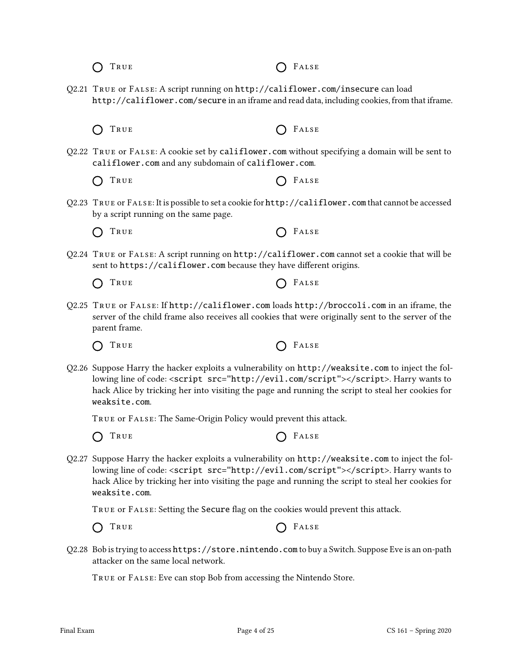| Q2.22 TRUE or FALSE: A cookie set by califlower.com without specifying a domain will be sent to<br>califlower.com and any subdomain of califlower.com.                                                                                                                                                          |       |
|-----------------------------------------------------------------------------------------------------------------------------------------------------------------------------------------------------------------------------------------------------------------------------------------------------------------|-------|
| TRUE                                                                                                                                                                                                                                                                                                            | FALSE |
| Q2.23 TRUE or FALSE: It is possible to set a cookie for http://califlower.com that cannot be accessed<br>by a script running on the same page.                                                                                                                                                                  |       |
| TRUE                                                                                                                                                                                                                                                                                                            | FALSE |
| Q2.24 TRUE or FALSE: A script running on http://califlower.com cannot set a cookie that will be<br>sent to https://califlower.com because they have different origins.                                                                                                                                          |       |
| TRUE                                                                                                                                                                                                                                                                                                            | FALSE |
| Q2.25 TRUE or FALSE: If http://califlower.com loads http://broccoli.com in an iframe, the<br>server of the child frame also receives all cookies that were originally sent to the server of the<br>parent frame.                                                                                                |       |
| TRUE                                                                                                                                                                                                                                                                                                            | FALSE |
| Q2.26 Suppose Harry the hacker exploits a vulnerability on http://weaksite.com to inject the fol-<br>lowing line of code: <script src="http://evil.com/script"></script> . Harry wants to<br>hack Alice by tricking her into visiting the page and running the script to steal her cookies for<br>weaksite.com. |       |
| TRUE OF FALSE: The Same-Origin Policy would prevent this attack.                                                                                                                                                                                                                                                |       |
| TRUE                                                                                                                                                                                                                                                                                                            | FALSE |
| Q2.27 Suppose Harry the hacker exploits a vulnerability on http://weaksite.com to inject the fol-<br>lowing line of code: <script src="http://evil.com/script"></script> . Harry wants to<br>hack Alice by tricking her into visiting the page and running the script to steal her cookies for<br>weaksite.com. |       |
| TRUE OF FALSE: Setting the Secure flag on the cookies would prevent this attack.                                                                                                                                                                                                                                |       |
| TRUE                                                                                                                                                                                                                                                                                                            | FALSE |
| Q2.28 Bob is trying to access https://store.nintendo.com to buy a Switch. Suppose Eve is an on-path<br>attacker on the same local network.                                                                                                                                                                      |       |

O TRUE O FALSE

O TRUE O FALSE

Q2.21 True or False: A script running on http://califlower.com/insecure can load

http://califlower.com/secure in an iframe and read data, including cookies, from that iframe.

True or False: Eve can stop Bob from accessing the Nintendo Store.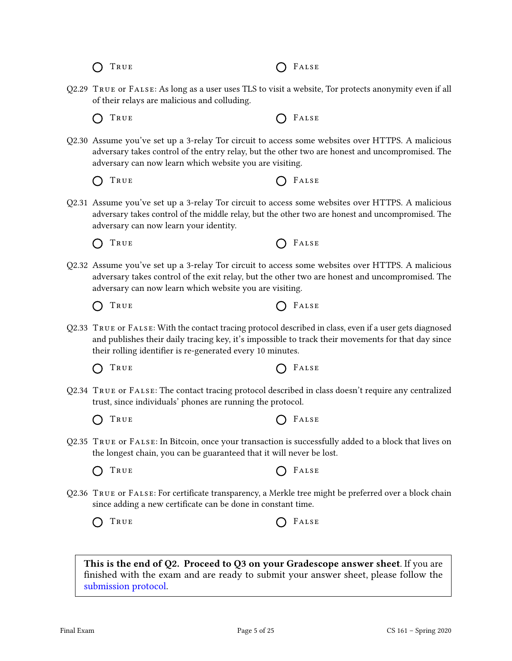|  | Q2.29 TRUE OF FALSE: As long as a user uses TLS to visit a website, Tor protects anonymity even if all |  |
|--|--------------------------------------------------------------------------------------------------------|--|

of their relays are malicious and colluding.

- $\bigcap$
- Q2.30 Assume you've set up a 3-relay Tor circuit to access some websites over HTTPS. A malicious adversary takes control of the entry relay, but the other two are honest and uncompromised. The adversary can now learn which website you are visiting.
	- TRUE **CONSTRUE**
- Q2.31 Assume you've set up a 3-relay Tor circuit to access some websites over HTTPS. A malicious adversary takes control of the middle relay, but the other two are honest and uncompromised. The adversary can now learn your identity.
	- $\bigcap$  True  $\bigcap$  False

 $\bigcap$  True  $\bigcap$  False

- Q2.32 Assume you've set up a 3-relay Tor circuit to access some websites over HTTPS. A malicious adversary takes control of the exit relay, but the other two are honest and uncompromised. The adversary can now learn which website you are visiting.
	- $\left( \right)$
- Q2.33 True or False: With the contact tracing protocol described in class, even if a user gets diagnosed and publishes their daily tracing key, it's impossible to track their movements for that day since their rolling identifier is re-generated every 10 minutes.
	- $\bigcap$  True  $\bigcap$  False
- Q2.34 True or False: The contact tracing protocol described in class doesn't require any centralized trust, since individuals' phones are running the protocol.
	- $\bigcap$  True  $\bigcap$  False
- Q2.35 True or False: In Bitcoin, once your transaction is successfully added to a block that lives on the longest chain, you can be guaranteed that it will never be lost.
	- $\bigcap$  True  $\bigcap$  False
- Q2.36 TRUE or FALSE: For certificate transparency, a Merkle tree might be preferred over a block chain since adding a new certificate can be done in constant time.

 $\bigcap$  True  $\bigcap$  False

This is the end of Q2. Proceed to Q3 on your Gradescope answer sheet. If you are finished with the exam and are ready to submit your answer sheet, please follow the [submission protocol.](#page-24-0)

TRUE **CELLES** 

TRUE **CONSTRUE**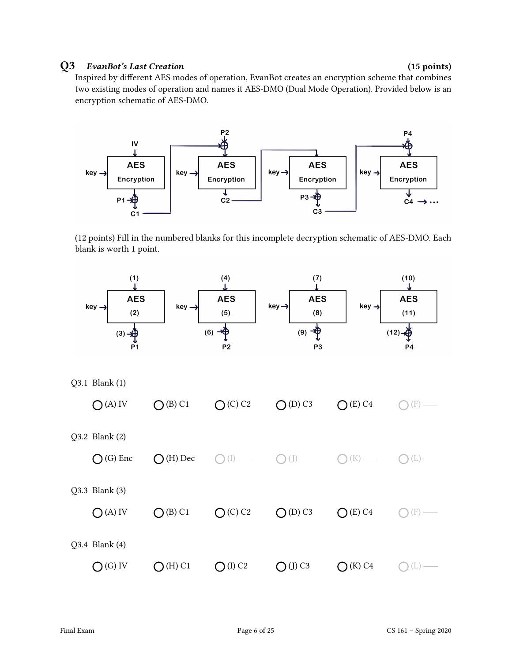### Q3 EvanBot's Last Creation (15 points)

Inspired by different AES modes of operation, EvanBot creates an encryption scheme that combines two existing modes of operation and names it AES-DMO (Dual Mode Operation). Provided below is an encryption schematic of AES-DMO.



(12 points) Fill in the numbered blanks for this incomplete decryption schematic of AES-DMO. Each blank is worth 1 point.

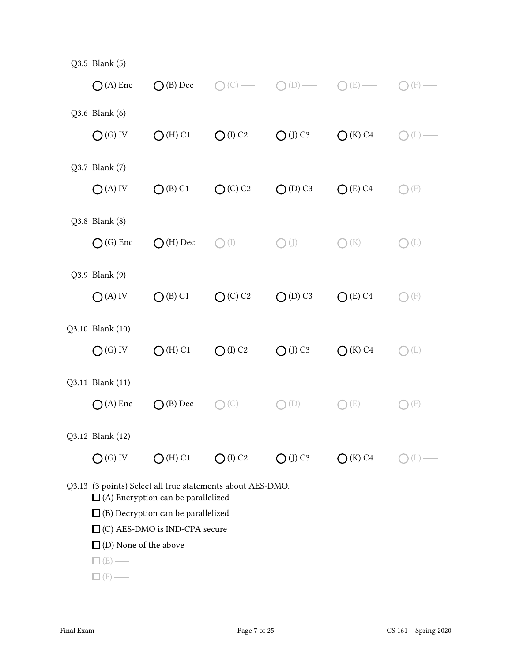| Q3.5 Blank (5)                                                       |                                                            |                        |                        |                               |           |
|----------------------------------------------------------------------|------------------------------------------------------------|------------------------|------------------------|-------------------------------|-----------|
| $\bigcap$ (A) Enc                                                    | $\bigcap$ (B) Dec                                          | (C)                    | (D)                    | (E)                           | (F)       |
| Q3.6 Blank (6)                                                       |                                                            |                        |                        |                               |           |
| $O(G)$ IV                                                            | $O(H)$ C1                                                  | $O$ (I) C <sub>2</sub> | $O$ (J) C <sub>3</sub> | $\bigcirc$ (K) C <sub>4</sub> | (L)       |
|                                                                      |                                                            |                        |                        |                               |           |
| Q3.7 Blank (7)                                                       |                                                            |                        |                        |                               |           |
| $O(A)$ IV                                                            | $O$ (B) C1                                                 | $O(C)$ C <sub>2</sub>  | $O(D)$ C <sub>3</sub>  | $O(E)$ C <sub>4</sub>         | (F)       |
|                                                                      |                                                            |                        |                        |                               |           |
| Q3.8 Blank (8)                                                       |                                                            |                        |                        |                               |           |
| $\bigcap$ (G) Enc                                                    | $\bigcap$ (H) Dec                                          | (1)                    |                        | (K)                           | (L)       |
| Q3.9 Blank (9)                                                       |                                                            |                        |                        |                               |           |
|                                                                      |                                                            |                        |                        |                               |           |
| $O(A)$ IV                                                            | $O$ (B) C1                                                 | $O(C)$ C <sub>2</sub>  | $O(D)$ C <sub>3</sub>  | $O(E)$ C <sub>4</sub>         | (F)       |
| Q3.10 Blank (10)                                                     |                                                            |                        |                        |                               |           |
| $O(G)$ IV                                                            | $O(H)$ C1                                                  | $O$ (I) C <sub>2</sub> | $O$ (J) C <sub>3</sub> | $\bigcap$ (K) C4              | $(\perp)$ |
|                                                                      |                                                            |                        |                        |                               |           |
| Q3.11 Blank (11)                                                     |                                                            |                        |                        |                               |           |
| $\bigcap$ (A) Enc                                                    | $(B)$ Dec                                                  |                        | $\bigcup$              | (E)                           | (F)       |
|                                                                      |                                                            |                        |                        |                               |           |
| Q3.12 Blank (12)                                                     |                                                            |                        |                        |                               |           |
| $\bigcirc$ (G) IV                                                    | $O(H)$ C1                                                  | $O$ (I) C <sub>2</sub> | $O$ (J) C3             | $\bigcirc$ (K) C4             | $(\perp)$ |
|                                                                      | Q3.13 (3 points) Select all true statements about AES-DMO. |                        |                        |                               |           |
|                                                                      | $\Box$ (A) Encryption can be parallelized                  |                        |                        |                               |           |
| $\Box$ (B) Decryption can be parallelized                            |                                                            |                        |                        |                               |           |
| $\Box$ (C) AES-DMO is IND-CPA secure<br>$\Box$ (D) None of the above |                                                            |                        |                        |                               |           |
| (E)                                                                  |                                                            |                        |                        |                               |           |
| $(F)$ –                                                              |                                                            |                        |                        |                               |           |
|                                                                      |                                                            |                        |                        |                               |           |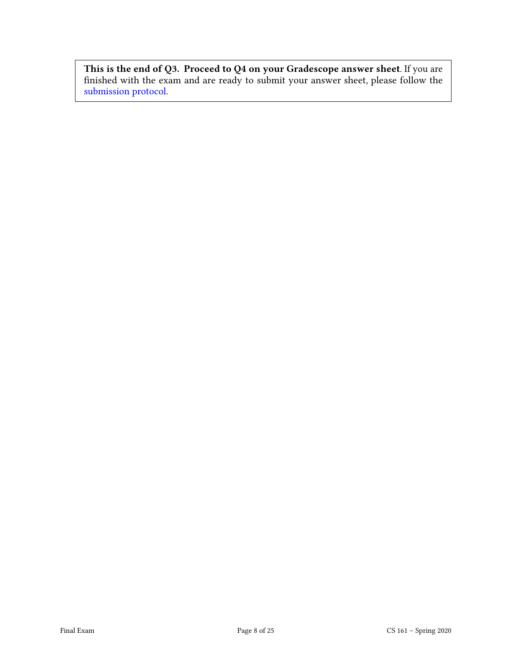This is the end of Q3. Proceed to Q4 on your Gradescope answer sheet. If you are nished with the exam and are ready to submit your answer sheet, please follow the [submission protocol.](#page-24-0)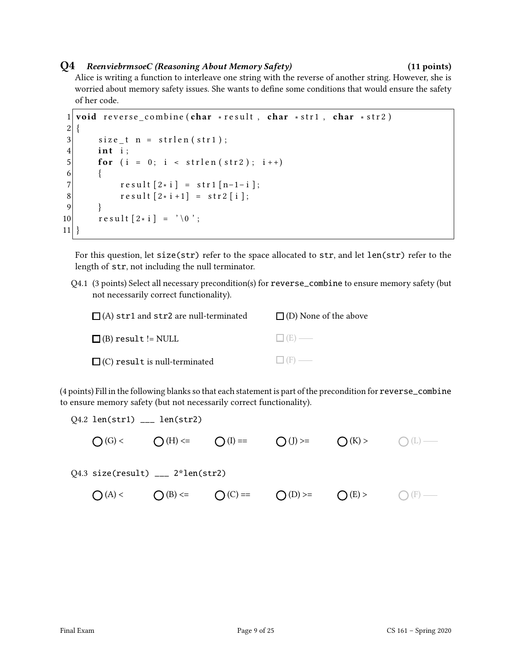#### Q4 ReenviebrmsoeC (Reasoning About Memory Safety) (11 points)

Alice is writing a function to interleave one string with the reverse of another string. However, she is worried about memory safety issues. She wants to define some conditions that would ensure the safety of her code.

```
1 void reverse combine (char * result, char * str1, char * str2)
2 \mid \{3 size t n = strlen (str1);
4 int i:
5 for (i = 0; i < str1en(str2); i++)6 \qquad \{7 \vert result [2 \times i] = \text{str1} [n-1-i];
8 result [2* i +1] = str2 [i];9 }
10 \vert result [2 \times i] = ' \ 0 ;
11}
```
For this question, let size(str) refer to the space allocated to str, and let len(str) refer to the length of str, not including the null terminator.

Q4.1 (3 points) Select all necessary precondition(s) for reverse\_combine to ensure memory safety (but not necessarily correct functionality).

| $\Box$ (A) str1 and str2 are null-terminated | $\Box$ (D) None of the above |
|----------------------------------------------|------------------------------|
| $\Box$ (B) result != NULL                    | $\Box$ (E) —                 |
| $\Box$ (C) result is null-terminated         | $\Box$ (F) —                 |

(4 points) Fill in the following blanks so that each statement is part of the precondition for reverse\_combine to ensure memory safety (but not necessarily correct functionality).

 $Q4.2$  len(str1)  $\_\_$  len(str2)

 $\bigcap(G)<$   $\bigcap(H)<=$   $\bigcap(I)=$   $\bigcap(J)>=$   $\bigcap(K)>$   $\bigcap(L)&\longrightarrow$ 

Q4.3 size(result) \_\_\_ 2\*len(str2)

 $\bigcap (A)$  <  $\bigcap (B)$  <=  $\bigcap (C)$  ==  $\bigcap (D)$  >=  $\bigcap (E)$  >  $\bigcap (F)$   $\longrightarrow$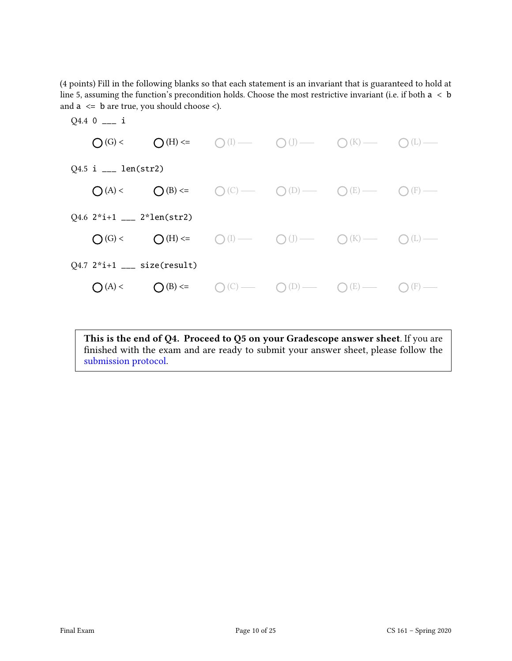(4 points) Fill in the following blanks so that each statement is an invariant that is guaranteed to hold at line 5, assuming the function's precondition holds. Choose the most restrictive invariant (i.e. if both  $a < b$ ) and  $a \leq b$  are true, you should choose  $\leq$ ).



This is the end of Q4. Proceed to Q5 on your Gradescope answer sheet. If you are finished with the exam and are ready to submit your answer sheet, please follow the [submission protocol.](#page-24-0)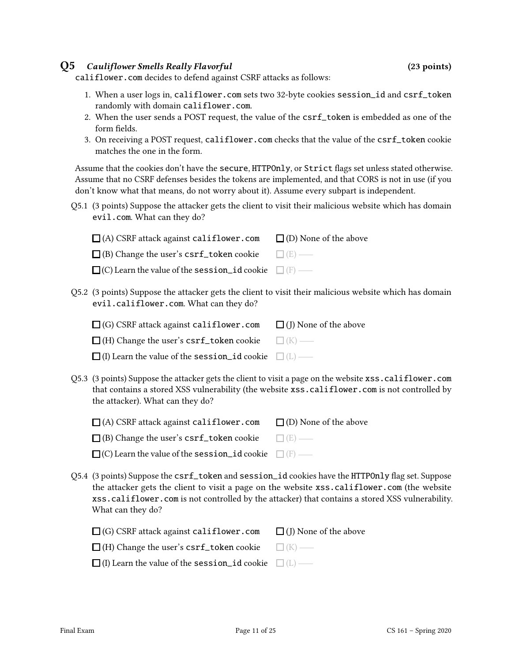#### Q5 Cauliflower Smells Really Flavorful (23 points)

califlower.com decides to defend against CSRF attacks as follows:

- 1. When a user logs in, califlower.com sets two 32-byte cookies session\_id and csrf\_token randomly with domain califlower.com.
- 2. When the user sends a POST request, the value of the csrf\_token is embedded as one of the form fields.
- 3. On receiving a POST request, califlower.com checks that the value of the csrf\_token cookie matches the one in the form.

Assume that the cookies don't have the secure, HTTPOnly, or Strict flags set unless stated otherwise. Assume that no CSRF defenses besides the tokens are implemented, and that CORS is not in use (if you don't know what that means, do not worry about it). Assume every subpart is independent.

Q5.1 (3 points) Suppose the attacker gets the client to visit their malicious website which has domain evil.com. What can they do?

| $\Box$ (A) CSRF attack against califlower.com                          | $\Box$ (D) None of the above |
|------------------------------------------------------------------------|------------------------------|
| $\Box$ (B) Change the user's csrf_token cookie $\Box$ (E) —            |                              |
| $\square$ (C) Learn the value of the session id cookie $\square$ (F) — |                              |

Q5.2 (3 points) Suppose the attacker gets the client to visit their malicious website which has domain evil.califlower.com. What can they do?

| $\Box$ (G) CSRF attack against califlower.com | $\Box$ (J) None of the above |
|-----------------------------------------------|------------------------------|
|-----------------------------------------------|------------------------------|

(H) Change the user's  $\textbf{csrf\_token}$  cookie  $\qquad \Box$  (K)

| $\Box$ (I) Learn the value of the session id cookie $\Box$ (L) – |  |
|------------------------------------------------------------------|--|
|------------------------------------------------------------------|--|

Q5.3 (3 points) Suppose the attacker gets the client to visit a page on the website xss.califlower.com that contains a stored XSS vulnerability (the website xss.califlower.com is not controlled by the attacker). What can they do?

| $\Box$ (A) CSRF attack against califlower.com              | $\Box$ (D) None of the above |
|------------------------------------------------------------|------------------------------|
| $\Box$ (B) Change the user's $\texttt{csrf\_token}$ cookie | $\Box$ (E) —                 |

| $\Box$ (C) Learn the value of the session id cookie $\Box$ (F) - |  |
|------------------------------------------------------------------|--|
|------------------------------------------------------------------|--|

Q5.4 (3 points) Suppose the csrf\_token and session\_id cookies have the HTTPOnly flag set. Suppose the attacker gets the client to visit a page on the website xss.califlower.com (the website xss.califlower.com is not controlled by the attacker) that contains a stored XSS vulnerability. What can they do?

| $\Box$ (G) CSRF attack against califlower.com                    | $\Box$ (J) None of the above |
|------------------------------------------------------------------|------------------------------|
| $\Box$ (H) Change the user's $\text{csrf\_token cookie}$         | $\Box$ (K) $\Box$            |
| $\Box$ (I) Learn the value of the session id cookie $\Box$ (L) — |                              |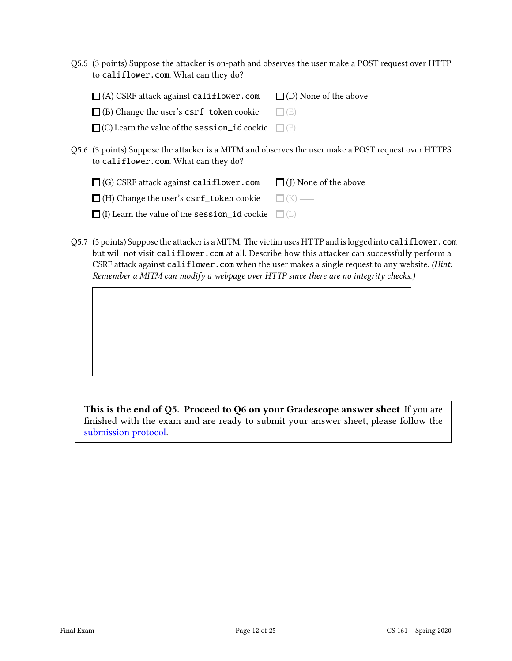Q5.5 (3 points) Suppose the attacker is on-path and observes the user make a POST request over HTTP to califlower.com. What can they do?

| $\Box$ (A) CSRF attack against califlower.com $\Box$ (D) None of the above |  |
|----------------------------------------------------------------------------|--|
| $\Box$ (B) Change the user's csrf_token cookie $\Box$ (E) —                |  |
| $\Box$ (C) Learn the value of the session id cookie $\Box$ (F) —           |  |
|                                                                            |  |

Q5.6 (3 points) Suppose the attacker is a MITM and observes the user make a POST request over HTTPS to califlower.com. What can they do?

| $\Box$ (G) CSRF attack against califlower.com                    | $\Box$ (J) None of the above |
|------------------------------------------------------------------|------------------------------|
| $\Box$ (H) Change the user's csrf_token cookie $\Box$ (K) —      |                              |
| $\Box$ (I) Learn the value of the session id cookie $\Box$ (L) — |                              |

Q5.7 (5 points) Suppose the attacker is a MITM. The victim uses HTTP and is logged into califlower.com but will not visit califlower.com at all. Describe how this attacker can successfully perform a CSRF attack against califlower.com when the user makes a single request to any website. (Hint: Remember a MITM can modify a webpage over HTTP since there are no integrity checks.)

This is the end of Q5. Proceed to Q6 on your Gradescope answer sheet. If you are nished with the exam and are ready to submit your answer sheet, please follow the [submission protocol.](#page-24-0)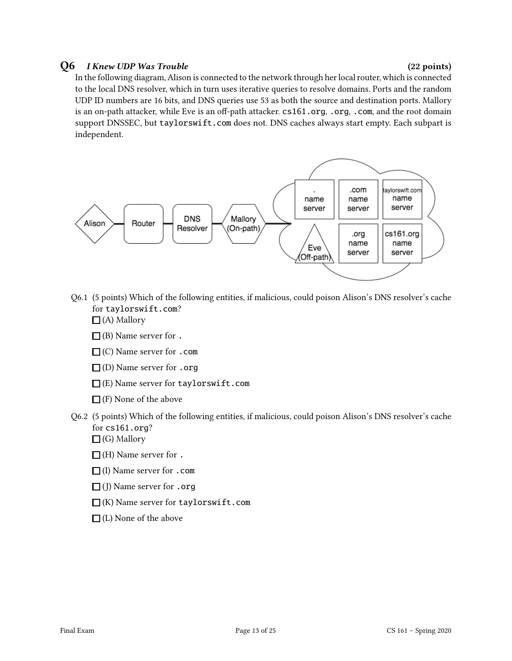#### $Q6$  I Knew UDP Was Trouble  $(22 \text{ points})$

In the following diagram, Alison is connected to the network through her local router, which is connected to the local DNS resolver, which in turn uses iterative queries to resolve domains. Ports and the random UDP ID numbers are 16 bits, and DNS queries use 53 as both the source and destination ports. Mallory is an on-path attacker, while Eve is an off-path attacker. cs161.org, .org, .com, and the root domain support DNSSEC, but taylorswift.com does not. DNS caches always start empty. Each subpart is independent.



- Q6.1 (5 points) Which of the following entities, if malicious, could poison Alison's DNS resolver's cache for taylorswift.com?
	- $\Box$  (A) Mallory
	- $\Box$  (B) Name server for .
	- $\Box$  (C) Name server for .com
	- $\Box$  (D) Name server for .org
	- $\square$ (E) Name server for taylorswift.com
	- $\Box$  (F) None of the above
- Q6.2 (5 points) Which of the following entities, if malicious, could poison Alison's DNS resolver's cache for cs161.org?
	- $\Box$  (G) Mallory
	- $\Box$  (H) Name server for .
	- $\Box$ (I) Name server for .com
	- $\Box$  (J) Name server for .org
	- $\Box$ (K) Name server for taylorswift.com
	- $\Box$  (L) None of the above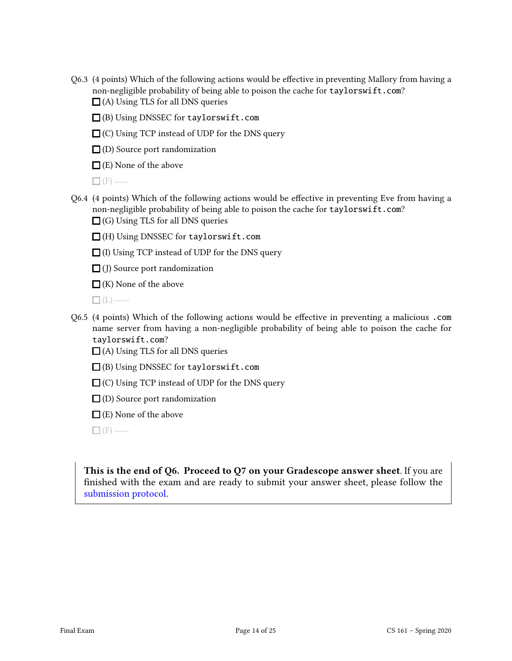- Q6.3 (4 points) Which of the following actions would be effective in preventing Mallory from having a non-negligible probability of being able to poison the cache for taylorswift.com?  $\Box$  (A) Using TLS for all DNS queries
	- (B) Using DNSSEC for taylorswift.com
	- $\Box$  (C) Using TCP instead of UDP for the DNS query
	- $\Box$ (D) Source port randomization

 $\Box$  (E) None of the above

 $\Box$ (F) —

- $Q6.4$  (4 points) Which of the following actions would be effective in preventing Eve from having a non-negligible probability of being able to poison the cache for taylorswift.com?  $\Box$  (G) Using TLS for all DNS queries
	- (H) Using DNSSEC for taylorswift.com
	- $\Box$  (I) Using TCP instead of UDP for the DNS query

 $\Box$  (J) Source port randomization

 $\Box$  (K) None of the above

 $\Box$ (L) —

- Q6.5 (4 points) Which of the following actions would be effective in preventing a malicious .com name server from having a non-negligible probability of being able to poison the cache for taylorswift.com?
	- $\Box$  (A) Using TLS for all DNS queries
	- (B) Using DNSSEC for taylorswift.com
	- $\Box$  (C) Using TCP instead of UDP for the DNS query
	- $\square$  (D) Source port randomization
	- $\Box$  (E) None of the above

 $\Box$  (F) —

This is the end of Q6. Proceed to Q7 on your Gradescope answer sheet. If you are finished with the exam and are ready to submit your answer sheet, please follow the [submission protocol.](#page-24-0)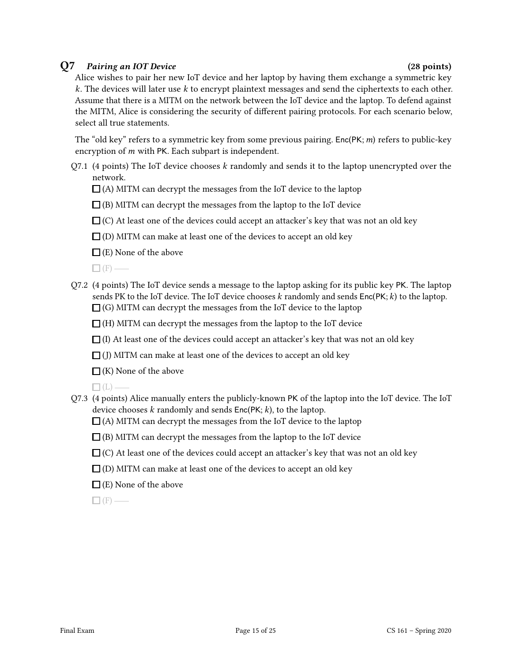### Q7 Pairing an IOT Device (28 points)

Alice wishes to pair her new IoT device and her laptop by having them exchange a symmetric key  $k$ . The devices will later use  $k$  to encrypt plaintext messages and send the ciphertexts to each other. Assume that there is a MITM on the network between the IoT device and the laptop. To defend against the MITM, Alice is considering the security of different pairing protocols. For each scenario below, select all true statements.

The "old key" refers to a symmetric key from some previous pairing. Enc(PK;  $m$ ) refers to public-key encryption of  $m$  with PK. Each subpart is independent.

 $Q7.1$  (4 points) The IoT device chooses  $k$  randomly and sends it to the laptop unencrypted over the network.

 $\Box$  (A) MITM can decrypt the messages from the IoT device to the laptop

 $\Box$  (B) MITM can decrypt the messages from the laptop to the IoT device

 $\Box$  (C) At least one of the devices could accept an attacker's key that was not an old key

 $\Box$  (D) MITM can make at least one of the devices to accept an old key

 $\square$  (E) None of the above

 $\Box$ (F) —

Q7.2 (4 points) The IoT device sends a message to the laptop asking for its public key PK. The laptop sends PK to the IoT device. The IoT device chooses  $k$  randomly and sends  $Enc(PK; k)$  to the laptop.  $\Box$  (G) MITM can decrypt the messages from the IoT device to the laptop

 $\Box$  (H) MITM can decrypt the messages from the laptop to the IoT device

 $\Box$  (I) At least one of the devices could accept an attacker's key that was not an old key

 $\Box$  (J) MITM can make at least one of the devices to accept an old key

 $\Box$  (K) None of the above

 $\Box$  (L)  $-$ 

Q7.3 (4 points) Alice manually enters the publicly-known PK of the laptop into the IoT device. The IoT device chooses  $k$  randomly and sends  $Enc(PK; k)$ , to the laptop.

 $\Box$ (A) MITM can decrypt the messages from the IoT device to the laptop

 $\Box$ (B) MITM can decrypt the messages from the laptop to the IoT device

- $\Box$  (C) At least one of the devices could accept an attacker's key that was not an old key
- $\Box$  (D) MITM can make at least one of the devices to accept an old key
- $\Box$  (E) None of the above

 $\Box$  (F) —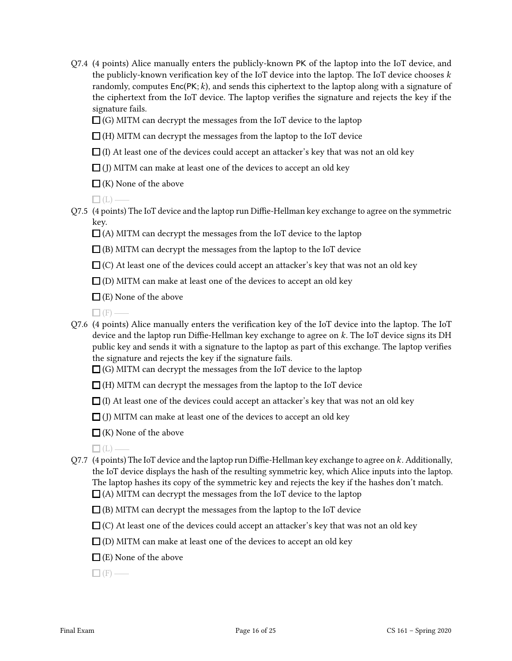- Q7.4 (4 points) Alice manually enters the publicly-known PK of the laptop into the IoT device, and the publicly-known verification key of the IoT device into the laptop. The IoT device chooses  $k$ randomly, computes  $Enc(PK; k)$ , and sends this ciphertext to the laptop along with a signature of the ciphertext from the IoT device. The laptop verifies the signature and rejects the key if the signature fails.
	- $\Box$  (G) MITM can decrypt the messages from the IoT device to the laptop

 $\Box$  (H) MITM can decrypt the messages from the laptop to the IoT device

- $\Box$  (I) At least one of the devices could accept an attacker's key that was not an old key
- $\Box$  (J) MITM can make at least one of the devices to accept an old key
- $\Box$  (K) None of the above

 $\Box$ (L) —

- Q7.5 (4 points) The IoT device and the laptop run Diffie-Hellman key exchange to agree on the symmetric key.
	- $\Box$  (A) MITM can decrypt the messages from the IoT device to the laptop
	- $\Box$  (B) MITM can decrypt the messages from the laptop to the IoT device
	- $\Box$  (C) At least one of the devices could accept an attacker's key that was not an old key
	- $\Box$  (D) MITM can make at least one of the devices to accept an old key
	- $\Box$  (E) None of the above
	- $\Box$  (F) -
- $Q7.6$  (4 points) Alice manually enters the verification key of the IoT device into the laptop. The IoT device and the laptop run Diffie-Hellman key exchange to agree on  $k$ . The IoT device signs its DH public key and sends it with a signature to the laptop as part of this exchange. The laptop verifies the signature and rejects the key if the signature fails.
	- $\Box$  (G) MITM can decrypt the messages from the IoT device to the laptop
	- $\Box$  (H) MITM can decrypt the messages from the laptop to the IoT device
	- $\Box$  (I) At least one of the devices could accept an attacker's key that was not an old key
	- $\Box$  (J) MITM can make at least one of the devices to accept an old key
	- $\Box$  (K) None of the above
	- $\Box$ (L)  $-$
- Q7.7 (4 points) The IoT device and the laptop run Diffie-Hellman key exchange to agree on  $k$ . Additionally, the IoT device displays the hash of the resulting symmetric key, which Alice inputs into the laptop. The laptop hashes its copy of the symmetric key and rejects the key if the hashes don't match.  $\Box$  (A) MITM can decrypt the messages from the IoT device to the laptop
	- $\Box$  (B) MITM can decrypt the messages from the laptop to the IoT device
	- $\Box$  (C) At least one of the devices could accept an attacker's key that was not an old key
	- $\Box$  (D) MITM can make at least one of the devices to accept an old key
	- $\Box$  (E) None of the above

 $\Box$ (F) —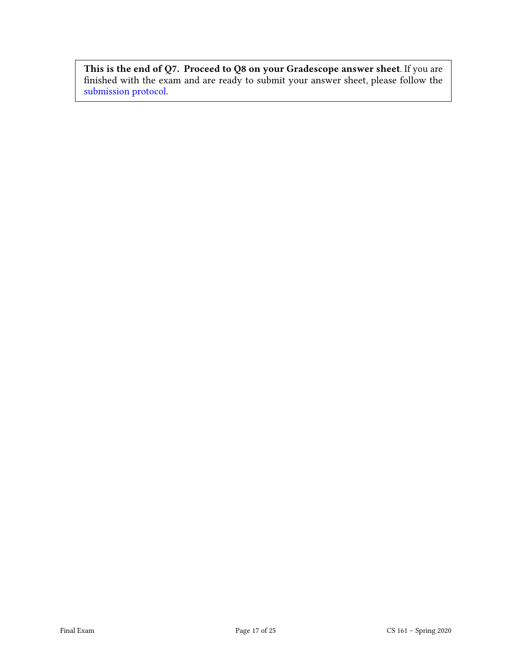This is the end of Q7. Proceed to Q8 on your Gradescope answer sheet. If you are nished with the exam and are ready to submit your answer sheet, please follow the [submission protocol.](#page-24-0)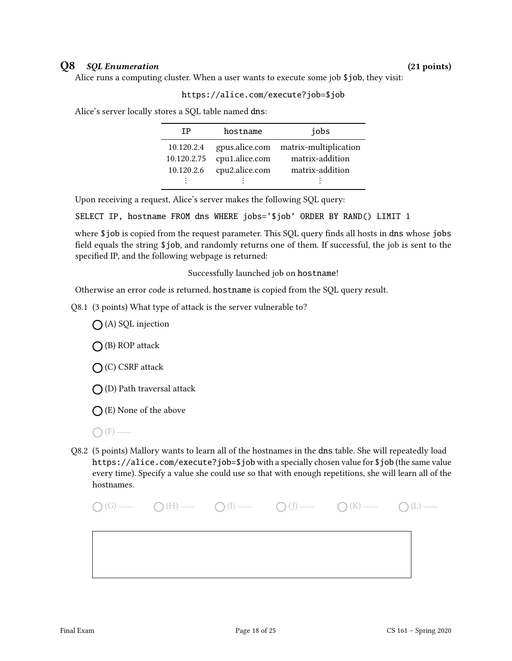#### Q8 SQL Enumeration (21 points)

Alice runs a computing cluster. When a user wants to execute some job \$job, they visit:

#### https://alice.com/execute?job=\$job

Alice's server locally stores a SQL table named dns:

| ТP          | hostname       | jobs                                 |
|-------------|----------------|--------------------------------------|
| 10.120.2.4  |                | gpus.alice.com matrix-multiplication |
| 10.120.2.75 | cpu1.alice.com | matrix-addition                      |
| 10.120.2.6  | cpu2.alice.com | matrix-addition                      |
|             |                |                                      |

Upon receiving a request, Alice's server makes the following SQL query:

SELECT IP, hostname FROM dns WHERE jobs='\$job' ORDER BY RAND() LIMIT 1

where \$job is copied from the request parameter. This SQL query finds all hosts in dns whose jobs field equals the string \$job, and randomly returns one of them. If successful, the job is sent to the specified IP, and the following webpage is returned:

Successfully launched job on hostname!

Otherwise an error code is returned. hostname is copied from the SQL query result.

Q8.1 (3 points) What type of attack is the server vulnerable to?

 $\bigcap$  (A) SQL injection

 $\bigcap$  (B) ROP attack

(C) CSRF attack

 $\bigcap$  (D) Path traversal attack

 $\bigcap$  (E) None of the above

Q8.2 (5 points) Mallory wants to learn all of the hostnames in the dns table. She will repeatedly load https://alice.com/execute?job=\$job with a specially chosen value for \$job (the same value every time). Specify a value she could use so that with enough repetitions, she will learn all of the hostnames.

 $\bigcap(G)$  (G)  $\bigcap(H)$   $\bigcap(I)$   $\bigcap(I)$   $\bigcap(I)$   $\bigcap(K)$   $\bigcap(I)$   $\bigcap(L)$   $\bigcap(I)$ 

 $\bigcap$  (F) —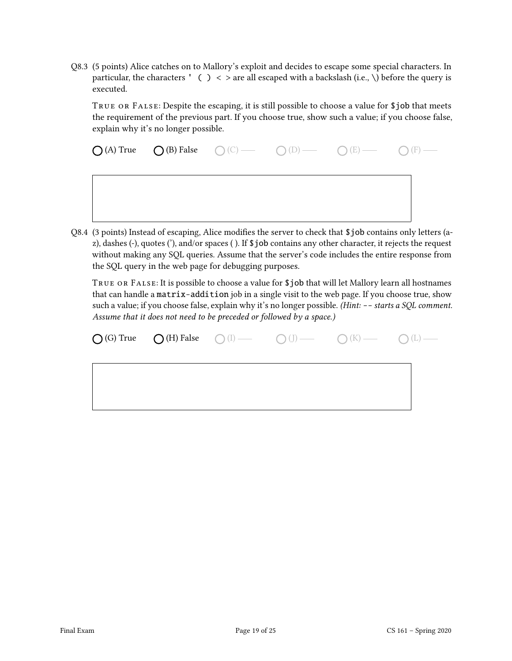Q8.3 (5 points) Alice catches on to Mallory's exploit and decides to escape some special characters. In particular, the characters ' ( ) < > are all escaped with a backslash (i.e.,  $\setminus$ ) before the query is executed.

TRUE OR FALSE: Despite the escaping, it is still possible to choose a value for \$job that meets the requirement of the previous part. If you choose true, show such a value; if you choose false, explain why it's no longer possible.

 $\bigcap (A)$  True  $\bigcap (B)$  False  $\bigcap (C)$   $\longrightarrow$   $\bigcap (D)$   $\longrightarrow$   $\bigcap (E)$   $\longrightarrow$   $\bigcap (F)$   $\longrightarrow$ 

Q8.4 (3 points) Instead of escaping, Alice modifies the server to check that \$job contains only letters (az), dashes (-), quotes ('), and/or spaces ( ). If \$job contains any other character, it rejects the request without making any SQL queries. Assume that the server's code includes the entire response from the SQL query in the web page for debugging purposes.

True or False: It is possible to choose a value for \$job that will let Mallory learn all hostnames that can handle a matrix-addition job in a single visit to the web page. If you choose true, show such a value; if you choose false, explain why it's no longer possible. (Hint: -- starts a SQL comment. Assume that it does not need to be preceded or followed by a space.)

|  |  | $\bigcirc$ (G) True $\bigcirc$ (H) False $\bigcirc$ (I) $\longrightarrow$ $\bigcirc$ (J) $\longrightarrow$ $\bigcirc$ (K) $\longrightarrow$ $\bigcirc$ (L) $\longrightarrow$ |  |
|--|--|------------------------------------------------------------------------------------------------------------------------------------------------------------------------------|--|
|  |  |                                                                                                                                                                              |  |
|  |  |                                                                                                                                                                              |  |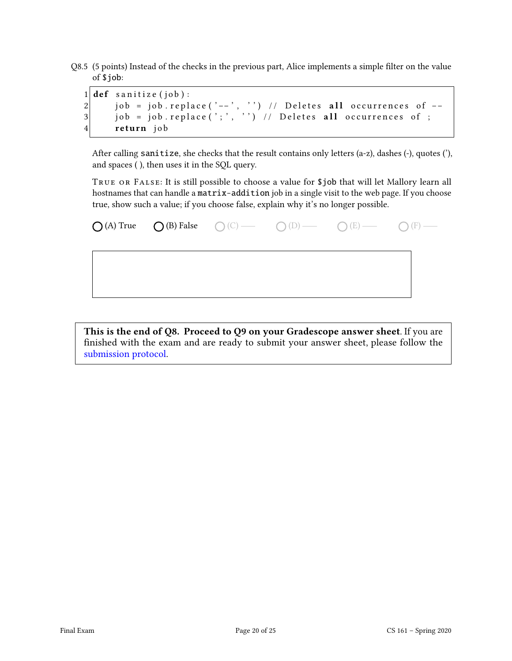Q8.5 (5 points) Instead of the checks in the previous part, Alice implements a simple filter on the value of \$job:

|  | $1$ def sanitize (job):                                         |
|--|-----------------------------------------------------------------|
|  | 2 iob = job.replace('--', '') // Deletes all occurrences of $-$ |
|  | $3 $ job = job.replace(';', '') // Deletes all occurrences of ; |
|  | 4 return job                                                    |

After calling sanitize, she checks that the result contains only letters (a-z), dashes (-), quotes ('), and spaces ( ), then uses it in the SQL query.

True or False: It is still possible to choose a value for \$job that will let Mallory learn all hostnames that can handle a matrix-addition job in a single visit to the web page. If you choose true, show such a value; if you choose false, explain why it's no longer possible.

|  | $\bigcirc$ (A) True $\bigcirc$ (B) False $\bigcirc$ (C) — $\bigcirc$ (D) — $\bigcirc$ (E) — $\bigcirc$ (F) — |  |
|--|--------------------------------------------------------------------------------------------------------------|--|
|  |                                                                                                              |  |
|  |                                                                                                              |  |
|  |                                                                                                              |  |

This is the end of Q8. Proceed to Q9 on your Gradescope answer sheet. If you are nished with the exam and are ready to submit your answer sheet, please follow the [submission protocol.](#page-24-0)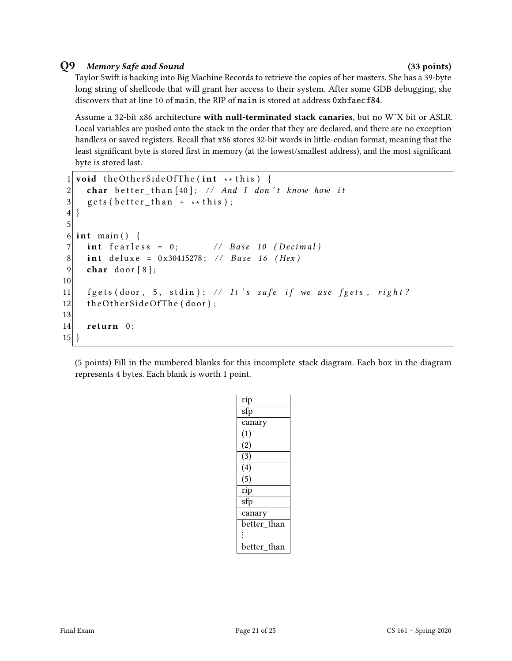### Q9 Memory Safe and Sound (33 points)

Taylor Swift is hacking into Big Machine Records to retrieve the copies of her masters. She has a 39-byte long string of shellcode that will grant her access to their system. After some GDB debugging, she discovers that at line 10 of main, the RIP of main is stored at address 0xbfaecf84.

Assume a 32-bit x86 architecture with null-terminated stack canaries, but no W^X bit or ASLR. Local variables are pushed onto the stack in the order that they are declared, and there are no exception handlers or saved registers. Recall that x86 stores 32-bit words in little-endian format, meaning that the least significant byte is stored first in memory (at the lowest/smallest address), and the most significant byte is stored last.

```
1 void the Other Side Of The (int ** this) {
2 char better_than [40]; // And I don't know how it
3 gets (better_than + ** this);
4}
5
6 int main () {
7 \mid int fearless = 0; \mid // Base 10 (Decimal)
8 int deluxe = 0x30415278; // Base 16 (Hex)
9 char door [8];
10
11 f g ets (door, 5, stdin); // It's safe if we use f gets, right?
12 the Other Side Of The (door);
13
14 return 0;
15}
```
(5 points) Fill in the numbered blanks for this incomplete stack diagram. Each box in the diagram represents 4 bytes. Each blank is worth 1 point.

| rip                       |
|---------------------------|
| $\overline{\mathsf{sfp}}$ |
| canary                    |
| (1)                       |
| $\overline{(2)}$          |
| $\overline{(3)}$          |
| $\overline{(4)}$          |
| $\overline{(5)}$          |
| rip                       |
| sfp                       |
| canary                    |
| better than               |
| $\ddot{\cdot}$            |
| better than               |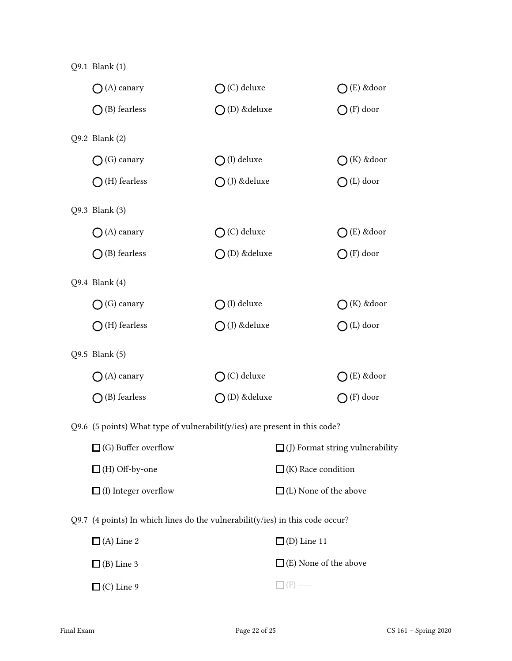| Q9.1 Blank (1)                                                                    |                        |                              |                                        |
|-----------------------------------------------------------------------------------|------------------------|------------------------------|----------------------------------------|
| $\bigcap$ (A) canary                                                              | $\bigcap$ (C) deluxe   |                              | $\bigcap$ (E) & door                   |
| $\bigcap$ (B) fearless                                                            | $\bigcap$ (D) & deluxe |                              | $\bigcap$ (F) door                     |
| Q9.2 Blank (2)                                                                    |                        |                              |                                        |
| (G) canary                                                                        | $\bigcap$ (I) deluxe   |                              | $\bigcap$ (K) &door                    |
| $\bigcap$ (H) fearless                                                            | $\bigcirc$ (J) &deluxe |                              | $\bigcap (L)$ door                     |
| Q9.3 Blank (3)                                                                    |                        |                              |                                        |
| $\bigcap$ (A) canary                                                              | $\bigcap$ (C) deluxe   |                              | $\bigcap (E)$ &door                    |
| $\bigcap$ (B) fearless                                                            | $\bigcap$ (D) & deluxe |                              | $\bigcap$ (F) door                     |
| Q9.4 Blank (4)                                                                    |                        |                              |                                        |
| (G) canary                                                                        | $\bigcirc$ (I) deluxe  |                              | $\bigcirc$ (K) & door                  |
| $\bigcap$ (H) fearless                                                            | $\bigcirc$ (J) &deluxe |                              | $O(L)$ door                            |
| Q9.5 Blank (5)                                                                    |                        |                              |                                        |
| (A) canary                                                                        | $\bigcirc$ (C) deluxe  |                              | $\bigcirc$ (E) &door                   |
| $\bigcap$ (B) fearless                                                            | $\bigcap$ (D) & deluxe |                              | $\bigcap$ (F) door                     |
| Q9.6 (5 points) What type of vulnerabilit( $y$ /ies) are present in this code?    |                        |                              |                                        |
| $\Box$ (G) Buffer overflow                                                        |                        |                              | $\Box$ (J) Format string vulnerability |
| $\Box$ (H) Off-by-one                                                             |                        | $\Box$ (K) Race condition    |                                        |
| $\Box$ (I) Integer overflow                                                       |                        | $\Box$ (L) None of the above |                                        |
| Q9.7 (4 points) In which lines do the vulnerabilit( $y$ /ies) in this code occur? |                        |                              |                                        |
| $\Box$ (A) Line 2                                                                 |                        | $\Box$ (D) Line 11           |                                        |
| $\Box$ (B) Line 3                                                                 |                        | $\Box$ (E) None of the above |                                        |
| $\Box$ (C) Line 9                                                                 |                        | $(F)$ —                      |                                        |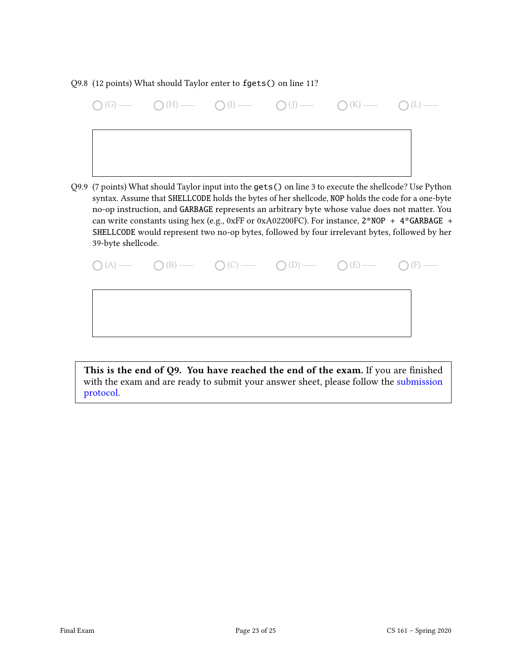#### Q9.8 (12 points) What should Taylor enter to fgets() on line 11?

|  | $\bigcirc$ (G) $\qquad \bigcirc$ (H) $\qquad \bigcirc$ (I) $\qquad \bigcirc$ (I) $\qquad \bigcirc$ (I) $\qquad \bigcirc$ (K) $\qquad \bigcirc$ (L) $\qquad \qquad$ |  |
|--|--------------------------------------------------------------------------------------------------------------------------------------------------------------------|--|
|  |                                                                                                                                                                    |  |
|  |                                                                                                                                                                    |  |

Q9.9 (7 points) What should Taylor input into the gets() on line 3 to execute the shellcode? Use Python syntax. Assume that SHELLCODE holds the bytes of her shellcode, NOP holds the code for a one-byte no-op instruction, and GARBAGE represents an arbitrary byte whose value does not matter. You can write constants using hex (e.g., 0xFF or 0xA02200FC). For instance,  $2*NOP + 4*GARBAGE +$ SHELLCODE would represent two no-op bytes, followed by four irrelevant bytes, followed by her 39-byte shellcode.

|  | $\bigcirc (A) \longrightarrow \bigcirc (B) \longrightarrow \bigcirc (C) \longrightarrow \bigcirc (D) \longrightarrow \bigcirc (E) \longrightarrow \bigcirc (F) \longrightarrow$ |  |
|--|---------------------------------------------------------------------------------------------------------------------------------------------------------------------------------|--|
|  |                                                                                                                                                                                 |  |
|  |                                                                                                                                                                                 |  |

This is the end of  $Q9$ . You have reached the end of the exam. If you are finished with the exam and are ready to submit your answer sheet, please follow the [submission](#page-24-0) [protocol.](#page-24-0)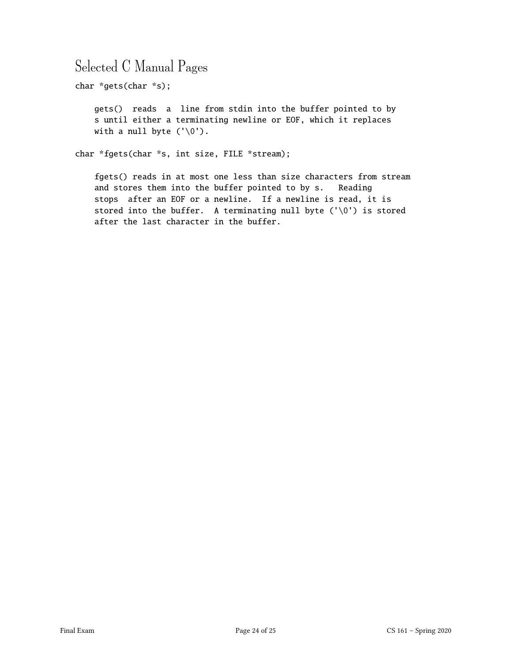## Selected C Manual Pages

char \*gets(char \*s);

gets() reads a line from stdin into the buffer pointed to by s until either a terminating newline or EOF, which it replaces with a null byte  $('0')$ .

char \*fgets(char \*s, int size, FILE \*stream);

fgets() reads in at most one less than size characters from stream and stores them into the buffer pointed to by s. Reading stops after an EOF or a newline. If a newline is read, it is stored into the buffer. A terminating null byte (' $\setminus 0'$ ) is stored after the last character in the buffer.